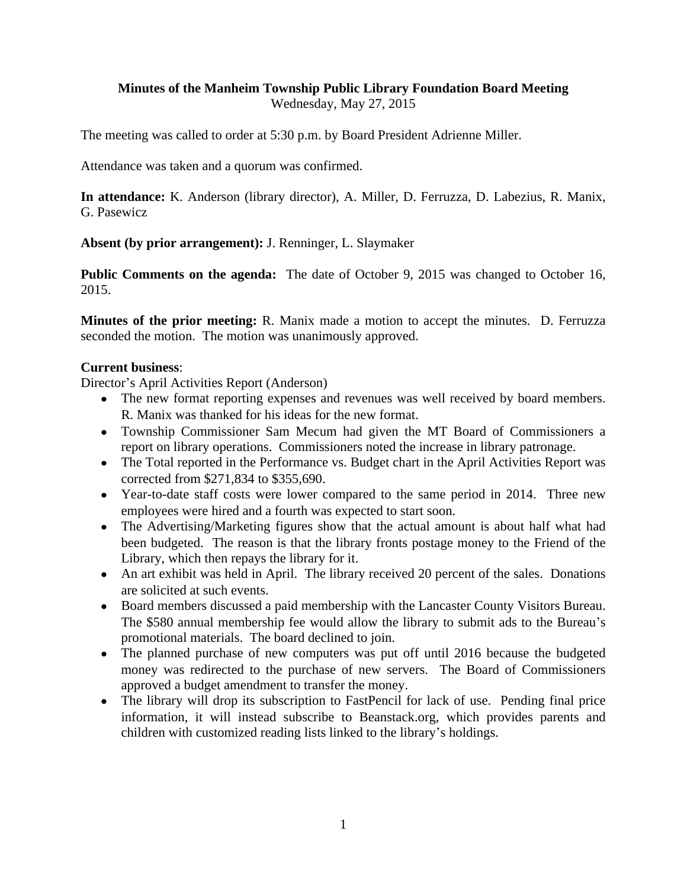# **Minutes of the Manheim Township Public Library Foundation Board Meeting**

Wednesday, May 27, 2015

The meeting was called to order at 5:30 p.m. by Board President Adrienne Miller.

Attendance was taken and a quorum was confirmed.

**In attendance:** K. Anderson (library director), A. Miller, D. Ferruzza, D. Labezius, R. Manix, G. Pasewicz

**Absent (by prior arrangement):** J. Renninger, L. Slaymaker

**Public Comments on the agenda:** The date of October 9, 2015 was changed to October 16, 2015.

**Minutes of the prior meeting:** R. Manix made a motion to accept the minutes. D. Ferruzza seconded the motion. The motion was unanimously approved.

## **Current business**:

Director's April Activities Report (Anderson)

- The new format reporting expenses and revenues was well received by board members. R. Manix was thanked for his ideas for the new format.
- Township Commissioner Sam Mecum had given the MT Board of Commissioners a report on library operations. Commissioners noted the increase in library patronage.
- The Total reported in the Performance vs. Budget chart in the April Activities Report was corrected from \$271,834 to \$355,690.
- Year-to-date staff costs were lower compared to the same period in 2014. Three new employees were hired and a fourth was expected to start soon.
- The Advertising/Marketing figures show that the actual amount is about half what had been budgeted. The reason is that the library fronts postage money to the Friend of the Library, which then repays the library for it.
- An art exhibit was held in April. The library received 20 percent of the sales. Donations are solicited at such events.
- Board members discussed a paid membership with the Lancaster County Visitors Bureau. The \$580 annual membership fee would allow the library to submit ads to the Bureau's promotional materials. The board declined to join.
- The planned purchase of new computers was put off until 2016 because the budgeted money was redirected to the purchase of new servers. The Board of Commissioners approved a budget amendment to transfer the money.
- The library will drop its subscription to FastPencil for lack of use. Pending final price information, it will instead subscribe to Beanstack.org, which provides parents and children with customized reading lists linked to the library's holdings.